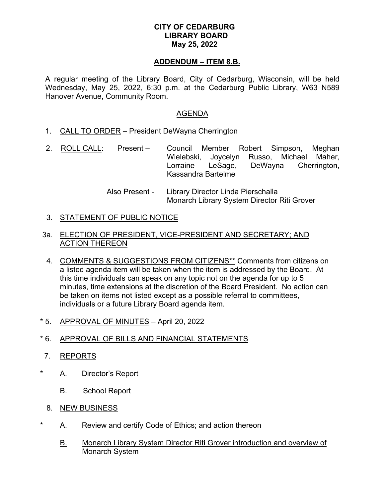## **CITY OF CEDARBURG LIBRARY BOARD May 25, 2022**

#### **ADDENDUM – ITEM 8.B.**

A regular meeting of the Library Board, City of Cedarburg, Wisconsin, will be held Wednesday, May 25, 2022, 6:30 p.m. at the Cedarburg Public Library, W63 N589 Hanover Avenue, Community Room.

#### AGENDA

- 1. CALL TO ORDER President DeWayna Cherrington
- 2. ROLL CALL: Present Council Member Robert Simpson, Meghan Wielebski, Joycelyn Russo, Michael Maher, Lorraine LeSage, DeWayna Cherrington, Kassandra Bartelme
	- Also Present Library Director Linda Pierschalla Monarch Library System Director Riti Grover

## 3. <u>STATEMENT OF PUBLIC NOTICE</u>

### 3a. ELECTION OF PRESIDENT, VICE-PRESIDENT AND SECRETARY; AND ACTION THEREON

- 4. COMMENTS & SUGGESTIONS FROM CITIZENS\*\* Comments from citizens on a listed agenda item will be taken when the item is addressed by the Board. At this time individuals can speak on any topic not on the agenda for up to 5 minutes, time extensions at the discretion of the Board President. No action can be taken on items not listed except as a possible referral to committees, individuals or a future Library Board agenda item.
- \* 5. APPROVAL OF MINUTES April 20, 2022

# \* 6. APPROVAL OF BILLS AND FINANCIAL STATEMENTS

 7. REPORTS

\*

\*

- A. Director's Report
	- B. School Report
- 8. <u>NEW BUSINESS</u>
	- A. Review and certify Code of Ethics; and action thereon
		- B. Monarch Library System Director Riti Grover introduction and overview of Monarch System